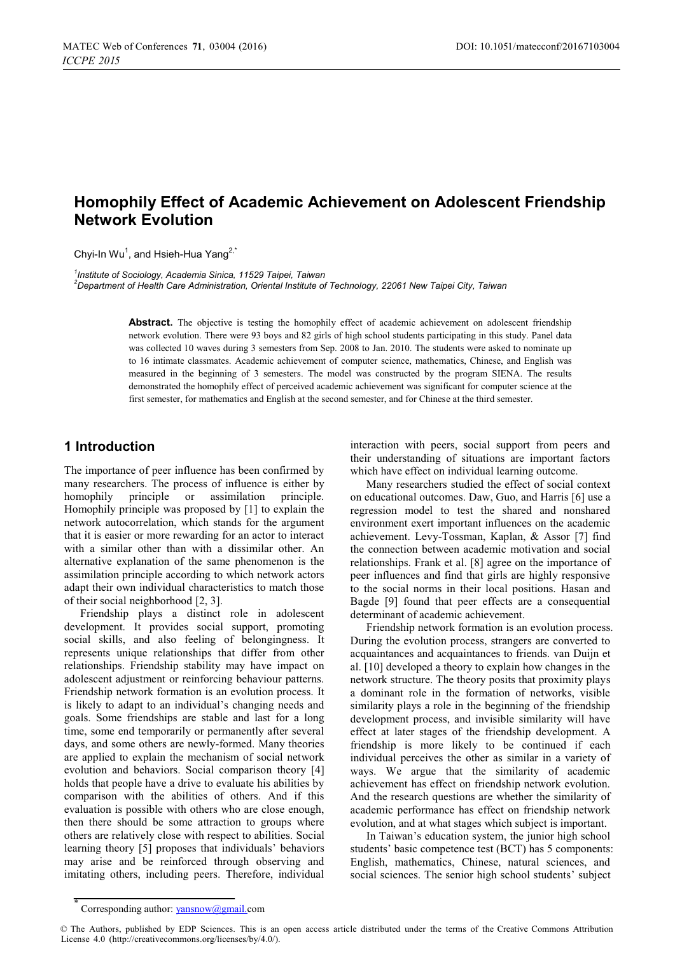# **Homophily Effect of Academic Achievement on Adolescent Friendship Network Evolution**

Chyi-In Wu<sup>1</sup>, and Hsieh-Hua Yang<sup>2,\*</sup>

*1 Institute of Sociology, Academia Sinica, 11529 Taipei, Taiwan 2 Department of Health Care Administration, Oriental Institute of Technology, 22061 New Taipei City, Taiwan*

> Abstract. The objective is testing the homophily effect of academic achievement on adolescent friendship network evolution. There were 93 boys and 82 girls of high school students participating in this study. Panel data was collected 10 waves during 3 semesters from Sep. 2008 to Jan. 2010. The students were asked to nominate up to 16 intimate classmates. Academic achievement of computer science, mathematics, Chinese, and English was measured in the beginning of 3 semesters. The model was constructed by the program SIENA. The results demonstrated the homophily effect of perceived academic achievement was significant for computer science at the first semester, for mathematics and English at the second semester, and for Chinese at the third semester.

# **1 Introduction**

The importance of peer influence has been confirmed by many researchers. The process of influence is either by homophily principle or assimilation principle. Homophily principle was proposed by [1] to explain the network autocorrelation, which stands for the argument that it is easier or more rewarding for an actor to interact with a similar other than with a dissimilar other. An alternative explanation of the same phenomenon is the assimilation principle according to which network actors adapt their own individual characteristics to match those of their social neighborhood [2, 3].

Friendship plays a distinct role in adolescent development. It provides social support, promoting social skills, and also feeling of belongingness. It represents unique relationships that differ from other relationships. Friendship stability may have impact on adolescent adjustment or reinforcing behaviour patterns. Friendship network formation is an evolution process. It is likely to adapt to an individual's changing needs and goals. Some friendships are stable and last for a long time, some end temporarily or permanently after several days, and some others are newly-formed. Many theories are applied to explain the mechanism of social network evolution and behaviors. Social comparison theory [4] holds that people have a drive to evaluate his abilities by comparison with the abilities of others. And if this evaluation is possible with others who are close enough, then there should be some attraction to groups where others are relatively close with respect to abilities. Social learning theory [5] proposes that individuals' behaviors may arise and be reinforced through observing and imitating others, including peers. Therefore, individual

interaction with peers, social support from peers and their understanding of situations are important factors which have effect on individual learning outcome.

Many researchers studied the effect of social context on educational outcomes. Daw, Guo, and Harris [6] use a regression model to test the shared and nonshared environment exert important influences on the academic achievement. Levy-Tossman, Kaplan, & Assor [7] find the connection between academic motivation and social relationships. Frank et al. [8] agree on the importance of peer influences and find that girls are highly responsive to the social norms in their local positions. Hasan and Bagde [9] found that peer effects are a consequential determinant of academic achievement.

Friendship network formation is an evolution process. During the evolution process, strangers are converted to acquaintances and acquaintances to friends. van Duijn et al. [10] developed a theory to explain how changes in the network structure. The theory posits that proximity plays a dominant role in the formation of networks, visible similarity plays a role in the beginning of the friendship development process, and invisible similarity will have effect at later stages of the friendship development. A friendship is more likely to be continued if each individual perceives the other as similar in a variety of ways. We argue that the similarity of academic achievement has effect on friendship network evolution. And the research questions are whether the similarity of academic performance has effect on friendship network evolution, and at what stages which subject is important.

In Taiwan's education system, the junior high school students' basic competence test (BCT) has 5 components: English, mathematics, Chinese, natural sciences, and social sciences. The senior high school students' subject

<sup>\*</sup> Corresponding author: yansnow@gmail.com

<sup>©</sup> The Authors, published by EDP Sciences. This is an open access article distributed under the terms of the Creative Commons Attribution License 4.0 (http://creativecommons.org/licenses/by/4.0/).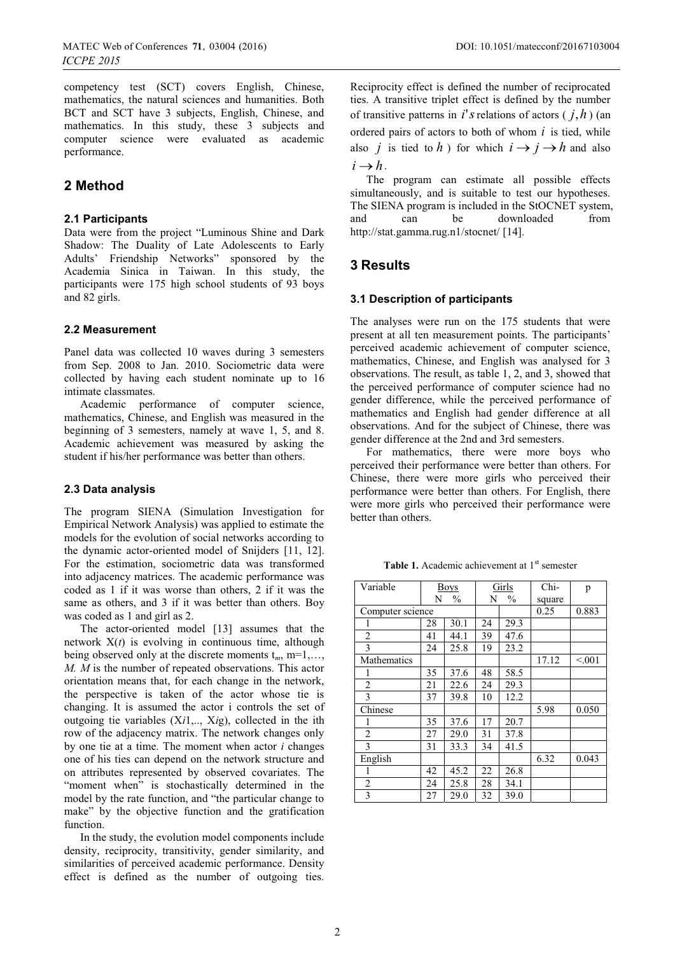competency test (SCT) covers English, Chinese, mathematics, the natural sciences and humanities. Both BCT and SCT have 3 subjects, English, Chinese, and mathematics. In this study, these 3 subjects and computer science were evaluated as academic performance.

# **2 Method**

#### **2.1 Participants**

Data were from the project "Luminous Shine and Dark Shadow: The Duality of Late Adolescents to Early Adults' Friendship Networks" sponsored by the Academia Sinica in Taiwan. In this study, the participants were 175 high school students of 93 boys and 82 girls.

#### **2.2 Measurement**

Panel data was collected 10 waves during 3 semesters from Sep. 2008 to Jan. 2010. Sociometric data were collected by having each student nominate up to 16 intimate classmates.

Academic performance of computer science, mathematics, Chinese, and English was measured in the beginning of 3 semesters, namely at wave 1, 5, and 8. Academic achievement was measured by asking the student if his/her performance was better than others.

### **2.3 Data analysis**

The program SIENA (Simulation Investigation for Empirical Network Analysis) was applied to estimate the models for the evolution of social networks according to the dynamic actor-oriented model of Snijders [11, 12]. For the estimation, sociometric data was transformed into adjacency matrices. The academic performance was coded as 1 if it was worse than others, 2 if it was the same as others, and 3 if it was better than others. Boy was coded as 1 and girl as 2.

The actor-oriented model [13] assumes that the network X(*t*) is evolving in continuous time, although being observed only at the discrete moments t*m*, m=1,…, *M. M* is the number of repeated observations. This actor orientation means that, for each change in the network, the perspective is taken of the actor whose tie is changing. It is assumed the actor i controls the set of outgoing tie variables (X*i*1,.., X*i*g), collected in the ith row of the adjacency matrix. The network changes only by one tie at a time. The moment when actor *i* changes one of his ties can depend on the network structure and on attributes represented by observed covariates. The "moment when" is stochastically determined in the model by the rate function, and "the particular change to make" by the objective function and the gratification function.

In the study, the evolution model components include density, reciprocity, transitivity, gender similarity, and similarities of perceived academic performance. Density effect is defined as the number of outgoing ties.

Reciprocity effect is defined the number of reciprocated ties. A transitive triplet effect is defined by the number of transitive patterns in  $i'$ *s* relations of actors (  $j, h$  ) (an ordered pairs of actors to both of whom *i* is tied, while also *j* is tied to *h*) for which  $i \rightarrow j \rightarrow h$  and also  $i \rightarrow h$ .

The program can estimate all possible effects simultaneously, and is suitable to test our hypotheses. The SIENA program is included in the StOCNET system, and can be downloaded from http://stat.gamma.rug.n1/stocnet/ [14].

# **3 Results**

#### **3.1 Description of participants**

The analyses were run on the 175 students that were present at all ten measurement points. The participants' perceived academic achievement of computer science, mathematics, Chinese, and English was analysed for 3 observations. The result, as table 1, 2, and 3, showed that the perceived performance of computer science had no gender difference, while the perceived performance of mathematics and English had gender difference at all observations. And for the subject of Chinese, there was gender difference at the 2nd and 3rd semesters.

For mathematics, there were more boys who perceived their performance were better than others. For Chinese, there were more girls who perceived their performance were better than others. For English, there were more girls who perceived their performance were better than others.

Table 1. Academic achievement at 1<sup>st</sup> semester

| Variable         | <b>Boys</b> |               | Girls |               | Chi-   | p      |
|------------------|-------------|---------------|-------|---------------|--------|--------|
|                  | N           | $\frac{0}{0}$ | N     | $\frac{0}{0}$ | square |        |
| Computer science |             |               |       |               | 0.25   | 0.883  |
| 1                | 28          | 30.1          | 24    | 29.3          |        |        |
| 2                | 41          | 44.1          | 39    | 47.6          |        |        |
| 3                | 24          | 25.8          | 19    | 23.2          |        |        |
| Mathematics      |             |               |       |               | 17.12  | < 0.01 |
|                  | 35          | 37.6          | 48    | 58.5          |        |        |
| 2                | 21          | 22.6          | 24    | 29.3          |        |        |
| 3                | 37          | 39.8          | 10    | 12.2          |        |        |
| Chinese          |             |               |       |               | 5.98   | 0.050  |
|                  | 35          | 37.6          | 17    | 20.7          |        |        |
| 2                | 27          | 29.0          | 31    | 37.8          |        |        |
| 3                | 31          | 33.3          | 34    | 41.5          |        |        |
| English          |             |               |       |               | 6.32   | 0.043  |
| 1                | 42          | 45.2          | 22    | 26.8          |        |        |
| 2                | 24          | 25.8          | 28    | 34.1          |        |        |
| 3                | 27          | 29.0          | 32    | 39.0          |        |        |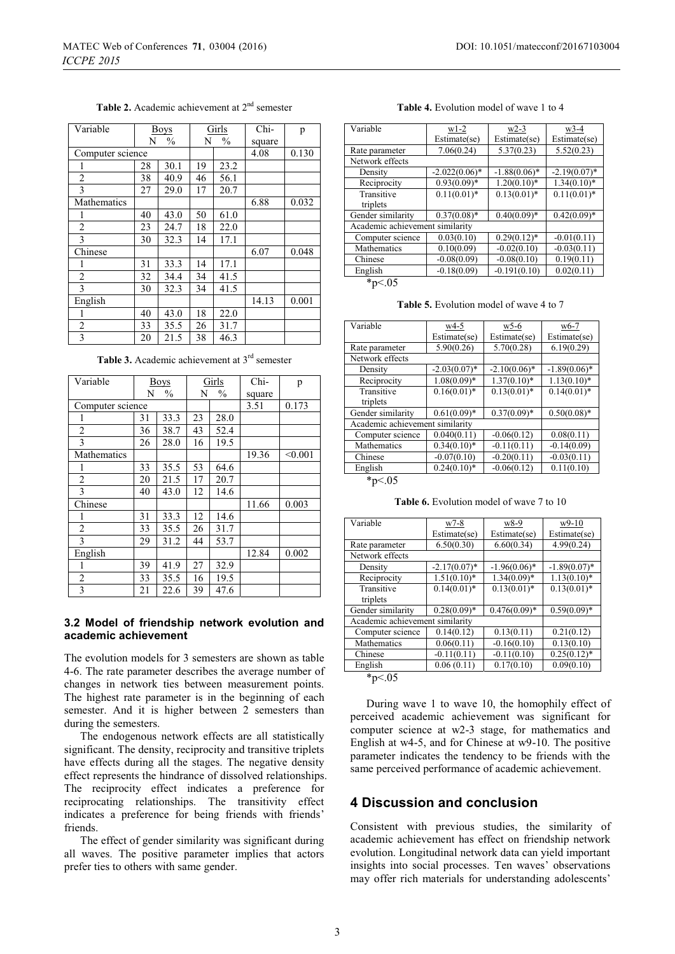Table 2. Academic achievement at 2<sup>nd</sup> semester

| Variable         | <b>Boys</b>        |      | Girls |               | Chi-   | p     |
|------------------|--------------------|------|-------|---------------|--------|-------|
|                  | $\frac{0}{0}$<br>N |      | N     | $\frac{0}{0}$ | square |       |
| Computer science |                    |      |       | 4.08          | 0.130  |       |
| I                | 28                 | 30.1 | 19    | 23.2          |        |       |
| 2                | 38                 | 40.9 | 46    | 56.1          |        |       |
| 3                | 27                 | 29.0 | 17    | 20.7          |        |       |
| Mathematics      |                    |      |       |               | 6.88   | 0.032 |
|                  | 40                 | 43.0 | 50    | 61.0          |        |       |
| $\overline{2}$   | 23                 | 24.7 | 18    | 22.0          |        |       |
| 3                | 30                 | 32.3 | 14    | 17.1          |        |       |
| Chinese          |                    |      |       |               | 6.07   | 0.048 |
| 1                | 31                 | 33.3 | 14    | 17.1          |        |       |
| 2                | 32                 | 34.4 | 34    | 41.5          |        |       |
| 3                | 30                 | 32.3 | 34    | 41.5          |        |       |
| English          |                    |      |       |               | 14.13  | 0.001 |
|                  | 40                 | 43.0 | 18    | 22.0          |        |       |
| 2                | 33                 | 35.5 | 26    | 31.7          |        |       |
| 3                | 20                 | 21.5 | 38    | 46.3          |        |       |

**Table 3.** Academic achievement at 3<sup>rd</sup> semester

| Variable         | <b>Boys</b> |               | Girls |               | Chi-   | p       |
|------------------|-------------|---------------|-------|---------------|--------|---------|
|                  | N           | $\frac{0}{0}$ | N     | $\frac{0}{0}$ | square |         |
| Computer science |             |               |       |               | 3.51   | 0.173   |
| 1                | 31          | 33.3          | 23    | 28.0          |        |         |
| $\overline{c}$   | 36          | 38.7          | 43    | 52.4          |        |         |
| 3                | 26          | 28.0          | 16    | 19.5          |        |         |
| Mathematics      |             |               |       |               | 19.36  | < 0.001 |
|                  | 33          | 35.5          | 53    | 64.6          |        |         |
| 2                | 20          | 21.5          | 17    | 20.7          |        |         |
| 3                | 40          | 43.0          | 12    | 14.6          |        |         |
| Chinese          |             |               |       |               | 11.66  | 0.003   |
|                  | 31          | 33.3          | 12    | 14.6          |        |         |
| $\overline{2}$   | 33          | 35.5          | 26    | 31.7          |        |         |
| 3                | 29          | 31.2          | 44    | 53.7          |        |         |
| English          |             |               |       |               | 12.84  | 0.002   |
| 1                | 39          | 41.9          | 27    | 32.9          |        |         |
| 2                | 33          | 35.5          | 16    | 19.5          |        |         |
| 3                | 21          | 22.6          | 39    | 47.6          |        |         |

#### **3.2 Model of friendship network evolution and academic achievement**

The evolution models for 3 semesters are shown as table 4-6. The rate parameter describes the average number of changes in network ties between measurement points. The highest rate parameter is in the beginning of each semester. And it is higher between 2 semesters than during the semesters.

The endogenous network effects are all statistically significant. The density, reciprocity and transitive triplets have effects during all the stages. The negative density effect represents the hindrance of dissolved relationships. The reciprocity effect indicates a preference for reciprocating relationships. The transitivity effect indicates a preference for being friends with friends' friends.

The effect of gender similarity was significant during all waves. The positive parameter implies that actors prefer ties to others with same gender.

#### **Table 4.** Evolution model of wave 1 to 4

| Variable                        | w1-2             | $w2-3$          | $w3-4$          |
|---------------------------------|------------------|-----------------|-----------------|
|                                 | Estimate(se)     | Estimate(se)    | Estimate(se)    |
| Rate parameter                  | 7.06(0.24)       | 5.37(0.23)      | 5.52(0.23)      |
| Network effects                 |                  |                 |                 |
| Density                         | $-2.022(0.06)^*$ | $-1.88(0.06)$ * | $-2.19(0.07)$ * |
| Reciprocity                     | $0.93(0.09)*$    | $1.20(0.10)*$   | $1.34(0.10)*$   |
| Transitive                      | $0.11(0.01)$ *   | $0.13(0.01)^*$  | $0.11(0.01)$ *  |
| triplets                        |                  |                 |                 |
| Gender similarity               | $0.37(0.08)*$    | $0.40(0.09)*$   | $0.42(0.09)*$   |
| Academic achievement similarity |                  |                 |                 |
| Computer science                | 0.03(0.10)       | $0.29(0.12)$ *  | $-0.01(0.11)$   |
| Mathematics                     | 0.10(0.09)       | $-0.02(0.10)$   | $-0.03(0.11)$   |
| Chinese                         | $-0.08(0.09)$    | $-0.08(0.10)$   | 0.19(0.11)      |
| English                         | $-0.18(0.09)$    | $-0.191(0.10)$  | 0.02(0.11)      |

 $*_{p<.05}$ 

Table 5. Evolution model of wave 4 to 7

| Variable                        | $w4-5$          | $w5-6$          | w6-7            |
|---------------------------------|-----------------|-----------------|-----------------|
|                                 | Estimate(se)    | Estimate(se)    | Estimate(se)    |
| Rate parameter                  | 5.90(0.26)      | 5.70(0.28)      | 6.19(0.29)      |
| Network effects                 |                 |                 |                 |
| Density                         | $-2.03(0.07)^*$ | $-2.10(0.06)$ * | $-1.89(0.06)$ * |
| Reciprocity                     | $1.08(0.09)*$   | $1.37(0.10)*$   | $1.13(0.10)*$   |
| Transitive                      | $0.16(0.01)*$   | $0.13(0.01)^*$  | $0.14(0.01)*$   |
| triplets                        |                 |                 |                 |
| Gender similarity               | $0.61(0.09)*$   | $0.37(0.09)*$   | $0.50(0.08)*$   |
| Academic achievement similarity |                 |                 |                 |
| Computer science                | 0.040(0.11)     | $-0.06(0.12)$   | 0.08(0.11)      |
| Mathematics                     | $0.34(0.10)*$   | $-0.11(0.11)$   | $-0.14(0.09)$   |
| Chinese                         | $-0.07(0.10)$   | $-0.20(0.11)$   | $-0.03(0.11)$   |
| English                         | $0.24(0.10)*$   | $-0.06(0.12)$   | 0.11(0.10)      |
| $*_{p<.05}$                     |                 |                 |                 |

Table 6. Evolution model of wave 7 to 10

| Variable                        | $w7-8$          | w8-9            | $w9-10$         |
|---------------------------------|-----------------|-----------------|-----------------|
|                                 | Estimate(se)    | Estimate(se)    | Estimate(se)    |
| Rate parameter                  | 6.50(0.30)      | 6.60(0.34)      | 4.99(0.24)      |
| Network effects                 |                 |                 |                 |
| Density                         | $-2.17(0.07)^*$ | $-1.96(0.06)$ * | $-1.89(0.07)$ * |
| Reciprocity                     | $1.51(0.10)^*$  | $1.34(0.09)*$   | $1.13(0.10)*$   |
| Transitive                      | $0.14(0.01)*$   | $0.13(0.01)^*$  | $0.13(0.01)^*$  |
| triplets                        |                 |                 |                 |
| Gender similarity               | $0.28(0.09)*$   | $0.476(0.09)*$  | $0.59(0.09)*$   |
| Academic achievement similarity |                 |                 |                 |
| Computer science                | 0.14(0.12)      | 0.13(0.11)      | 0.21(0.12)      |
| Mathematics                     | 0.06(0.11)      | $-0.16(0.10)$   | 0.13(0.10)      |
| Chinese                         | $-0.11(0.11)$   | $-0.11(0.10)$   | $0.25(0.12)^*$  |
| English                         | 0.06(0.11)      | 0.17(0.10)      | 0.09(0.10)      |
| $*_{p<.05}$                     |                 |                 |                 |

During wave 1 to wave 10, the homophily effect of perceived academic achievement was significant for computer science at w2-3 stage, for mathematics and English at w4-5, and for Chinese at w9-10. The positive parameter indicates the tendency to be friends with the same perceived performance of academic achievement.

# **4 Discussion and conclusion**

Consistent with previous studies, the similarity of academic achievement has effect on friendship network evolution. Longitudinal network data can yield important insights into social processes. Ten waves' observations may offer rich materials for understanding adolescents'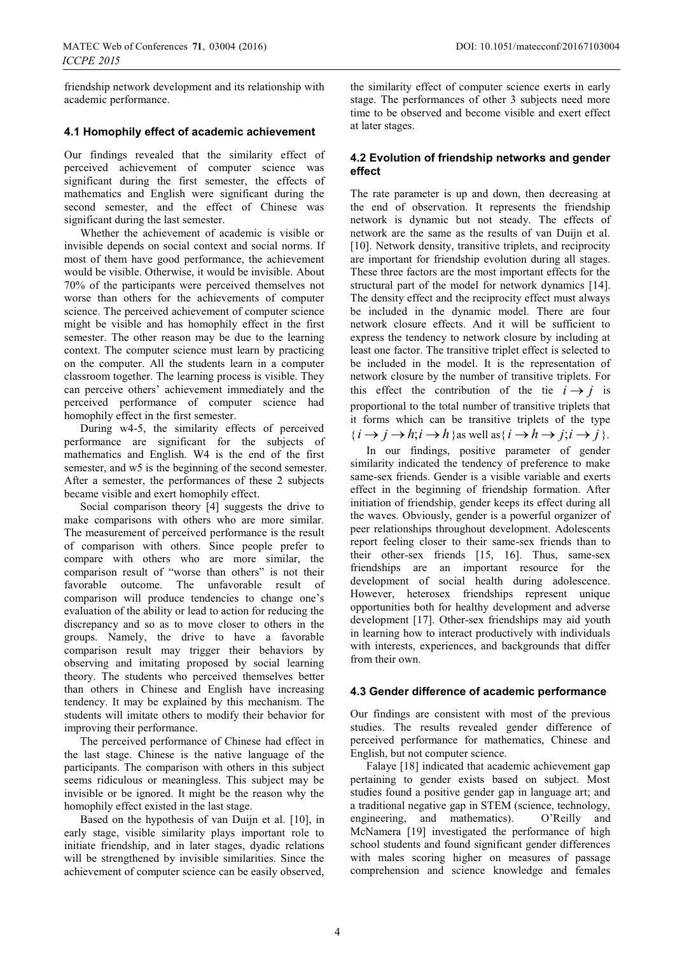friendship network development and its relationship with academic performance.

## **4.1 Homophily effect of academic achievement**

Our findings revealed that the similarity effect of perceived achievement of computer science was significant during the first semester, the effects of mathematics and English were significant during the second semester, and the effect of Chinese was significant during the last semester.

Whether the achievement of academic is visible or invisible depends on social context and social norms. If most of them have good performance, the achievement would be visible. Otherwise, it would be invisible. About 70% of the participants were perceived themselves not worse than others for the achievements of computer science. The perceived achievement of computer science might be visible and has homophily effect in the first semester. The other reason may be due to the learning context. The computer science must learn by practicing on the computer. All the students learn in a computer classroom together. The learning process is visible. They can perceive others' achievement immediately and the perceived performance of computer science had homophily effect in the first semester.

During w4-5, the similarity effects of perceived performance are significant for the subjects of mathematics and English. W4 is the end of the first semester, and w5 is the beginning of the second semester. After a semester, the performances of these 2 subjects became visible and exert homophily effect.

Social comparison theory [4] suggests the drive to make comparisons with others who are more similar. The measurement of perceived performance is the result of comparison with others. Since people prefer to compare with others who are more similar, the comparison result of "worse than others" is not their favorable outcome. The unfavorable result of comparison will produce tendencies to change one's evaluation of the ability or lead to action for reducing the discrepancy and so as to move closer to others in the groups. Namely, the drive to have a favorable comparison result may trigger their behaviors by observing and imitating proposed by social learning theory. The students who perceived themselves better than others in Chinese and English have increasing tendency. It may be explained by this mechanism. The students will imitate others to modify their behavior for improving their performance.

The perceived performance of Chinese had effect in the last stage. Chinese is the native language of the participants. The comparison with others in this subject seems ridiculous or meaningless. This subject may be invisible or be ignored. It might be the reason why the homophily effect existed in the last stage.

Based on the hypothesis of van Duijn et al. [10], in early stage, visible similarity plays important role to initiate friendship, and in later stages, dyadic relations will be strengthened by invisible similarities. Since the achievement of computer science can be easily observed,

the similarity effect of computer science exerts in early stage. The performances of other 3 subjects need more time to be observed and become visible and exert effect at later stages.

# **4.2 Evolution of friendship networks and gender effect**

The rate parameter is up and down, then decreasing at the end of observation. It represents the friendship network is dynamic but not steady. The effects of network are the same as the results of van Duijn et al. [10]. Network density, transitive triplets, and reciprocity are important for friendship evolution during all stages. These three factors are the most important effects for the structural part of the model for network dynamics [14]. The density effect and the reciprocity effect must always be included in the dynamic model. There are four network closure effects. And it will be sufficient to express the tendency to network closure by including at least one factor. The transitive triplet effect is selected to be included in the model. It is the representation of network closure by the number of transitive triplets. For this effect the contribution of the tie  $i \rightarrow j$  is proportional to the total number of transitive triplets that it forms which can be transitive triplets of the type  $\{i \rightarrow j \rightarrow h; i \rightarrow h\}$  as well as  $\{i \rightarrow h \rightarrow j; i \rightarrow j\}$ .

In our findings, positive parameter of gender similarity indicated the tendency of preference to make same-sex friends. Gender is a visible variable and exerts effect in the beginning of friendship formation. After initiation of friendship, gender keeps its effect during all the waves. Obviously, gender is a powerful organizer of peer relationships throughout development. Adolescents report feeling closer to their same-sex friends than to their other-sex friends [15, 16]. Thus, same-sex friendships are an important resource for the development of social health during adolescence. However, heterosex friendships represent unique opportunities both for healthy development and adverse development [17]. Other-sex friendships may aid youth in learning how to interact productively with individuals with interests, experiences, and backgrounds that differ from their own.

### **4.3 Gender difference of academic performance**

Our findings are consistent with most of the previous studies. The results revealed gender difference of perceived performance for mathematics, Chinese and English, but not computer science.

Falaye [18] indicated that academic achievement gap pertaining to gender exists based on subject. Most studies found a positive gender gap in language art; and a traditional negative gap in STEM (science, technology, engineering, and mathematics). O'Reilly and McNamera [19] investigated the performance of high school students and found significant gender differences with males scoring higher on measures of passage comprehension and science knowledge and females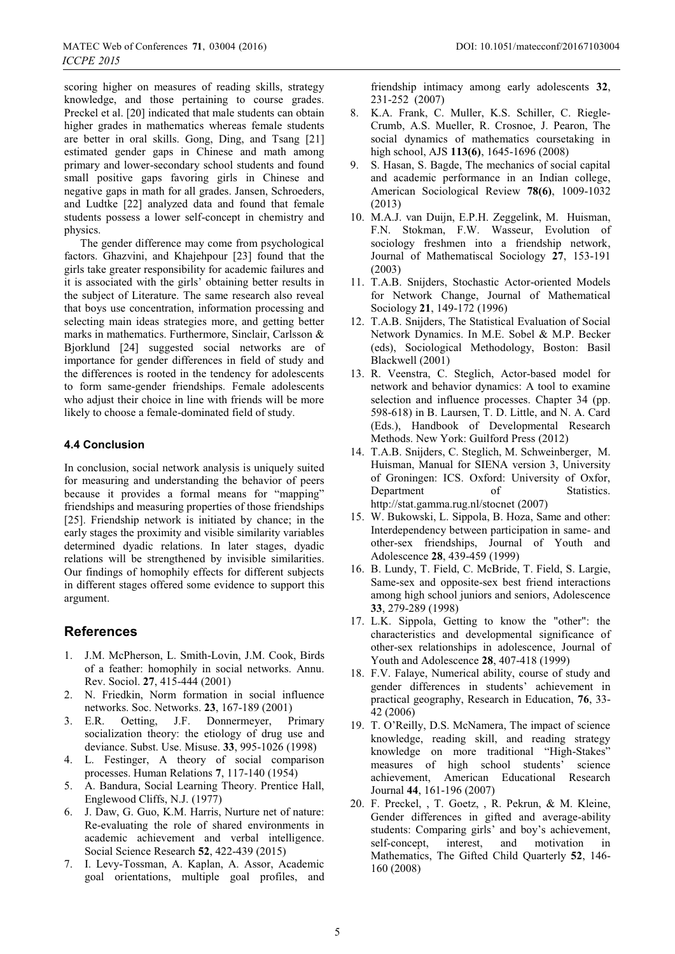scoring higher on measures of reading skills, strategy knowledge, and those pertaining to course grades. Preckel et al. [20] indicated that male students can obtain higher grades in mathematics whereas female students are better in oral skills. Gong, Ding, and Tsang [21] estimated gender gaps in Chinese and math among primary and lower-secondary school students and found small positive gaps favoring girls in Chinese and negative gaps in math for all grades. Jansen, Schroeders, and Ludtke [22] analyzed data and found that female students possess a lower self-concept in chemistry and physics.

The gender difference may come from psychological factors. Ghazvini, and Khajehpour [23] found that the girls take greater responsibility for academic failures and it is associated with the girls' obtaining better results in the subject of Literature. The same research also reveal that boys use concentration, information processing and selecting main ideas strategies more, and getting better marks in mathematics. Furthermore, Sinclair, Carlsson & Bjorklund [24] suggested social networks are of importance for gender differences in field of study and the differences is rooted in the tendency for adolescents to form same-gender friendships. Female adolescents who adjust their choice in line with friends will be more likely to choose a female-dominated field of study.

# **4.4 Conclusion**

In conclusion, social network analysis is uniquely suited for measuring and understanding the behavior of peers because it provides a formal means for "mapping" friendships and measuring properties of those friendships [25]. Friendship network is initiated by chance; in the early stages the proximity and visible similarity variables determined dyadic relations. In later stages, dyadic relations will be strengthened by invisible similarities. Our findings of homophily effects for different subjects in different stages offered some evidence to support this argument.

# **References**

- 1. J.M. McPherson, L. Smith-Lovin, J.M. Cook, Birds of a feather: homophily in social networks. Annu. Rev. Sociol. **27**, 415-444 (2001)
- 2. N. Friedkin, Norm formation in social influence networks. Soc. Networks. **23**, 167-189 (2001)
- 3. E.R. Oetting, J.F. Donnermeyer, Primary socialization theory: the etiology of drug use and deviance. Subst. Use. Misuse. **33**, 995-1026 (1998)
- 4. L. Festinger, A theory of social comparison processes. Human Relations **7**, 117-140 (1954)
- 5. A. Bandura, Social Learning Theory. Prentice Hall, Englewood Cliffs, N.J. (1977)
- 6. J. Daw, G. Guo, K.M. Harris, Nurture net of nature: Re-evaluating the role of shared environments in academic achievement and verbal intelligence. Social Science Research **52**, 422-439 (2015)
- 7. I. Levy-Tossman, A. Kaplan, A. Assor, Academic goal orientations, multiple goal profiles, and

friendship intimacy among early adolescents **32**, 231-252 (2007)

- 8. K.A. Frank, C. Muller, K.S. Schiller, C. Riegle-Crumb, A.S. Mueller, R. Crosnoe, J. Pearon, The social dynamics of mathematics coursetaking in high school, AJS **113(6)**, 1645-1696 (2008)
- 9. S. Hasan, S. Bagde, The mechanics of social capital and academic performance in an Indian college, American Sociological Review **78(6)**, 1009-1032 (2013)
- 10. M.A.J. van Duijn, E.P.H. Zeggelink, M. Huisman, F.N. Stokman, F.W. Wasseur, Evolution of sociology freshmen into a friendship network, Journal of Mathematiscal Sociology **27**, 153-191 (2003)
- 11. T.A.B. Snijders, Stochastic Actor-oriented Models for Network Change, Journal of Mathematical Sociology **21**, 149-172 (1996)
- 12. T.A.B. Snijders, The Statistical Evaluation of Social Network Dynamics. In M.E. Sobel & M.P. Becker (eds), Sociological Methodology, Boston: Basil Blackwell (2001)
- 13. R. Veenstra, C. Steglich, Actor-based model for network and behavior dynamics: A tool to examine selection and influence processes. Chapter 34 (pp. 598-618) in B. Laursen, T. D. Little, and N. A. Card (Eds.), Handbook of Developmental Research Methods. New York: Guilford Press (2012)
- 14. T.A.B. Snijders, C. Steglich, M. Schweinberger, M. Huisman, Manual for SIENA version 3, University of Groningen: ICS. Oxford: University of Oxfor, Department of http://stat.gamma.rug.nl/stocnet (2007)
- 15. W. Bukowski, L. Sippola, B. Hoza, Same and other: Interdependency between participation in same- and other-sex friendships, Journal of Youth and Adolescence **28**, 439-459 (1999)
- 16. B. Lundy, T. Field, C. McBride, T. Field, S. Largie, Same-sex and opposite-sex best friend interactions among high school juniors and seniors, Adolescence **33**, 279-289 (1998)
- 17. L.K. Sippola, Getting to know the "other": the characteristics and developmental significance of other-sex relationships in adolescence, Journal of Youth and Adolescence **28**, 407-418 (1999)
- 18. F.V. Falaye, Numerical ability, course of study and gender differences in students' achievement in practical geography, Research in Education, **76**, 33- 42 (2006)
- 19. T. O'Reilly, D.S. McNamera, The impact of science knowledge, reading skill, and reading strategy knowledge on more traditional "High-Stakes" measures of high school students' science achievement, American Educational Research Journal **44**, 161-196 (2007)
- 20. F. Preckel, , T. Goetz, , R. Pekrun, & M. Kleine, Gender differences in gifted and average-ability students: Comparing girls' and boy's achievement, self-concept, interest, and motivation in Mathematics, The Gifted Child Quarterly **52**, 146- 160 (2008)